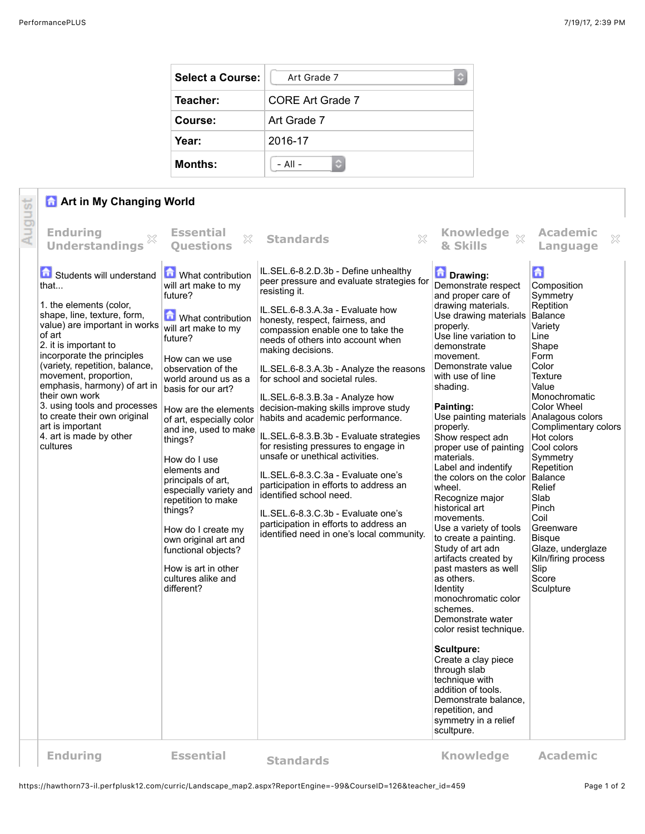| <b>Select a Course:</b> | Art Grade 7<br>¢        |  |  |  |
|-------------------------|-------------------------|--|--|--|
| Teacher:                | <b>CORE Art Grade 7</b> |  |  |  |
| Course:                 | Art Grade 7             |  |  |  |
| Year:                   | 2016-17                 |  |  |  |
| <b>Months:</b>          | $-$ All $-$             |  |  |  |

## **Art in My Changing World**

|        | <b>A</b> Art in My Changing World                                                                                                                                                                                                                                                                                                                                                                |                                                                                                                                                                                                                                                                                                                                                                                                                                                                                                        |                                                                                                                                                                                                                                                                                                                                                                                                                                                                                                                                                                                                                                                                                                                              |                                                                                                                                                                                                                                                                                                                                                                                                                                                                                                                                                                                                                                                                                                                                                                                                                                           |                                                                                                                                                                                                                                                                                                                                                                                                   |  |  |
|--------|--------------------------------------------------------------------------------------------------------------------------------------------------------------------------------------------------------------------------------------------------------------------------------------------------------------------------------------------------------------------------------------------------|--------------------------------------------------------------------------------------------------------------------------------------------------------------------------------------------------------------------------------------------------------------------------------------------------------------------------------------------------------------------------------------------------------------------------------------------------------------------------------------------------------|------------------------------------------------------------------------------------------------------------------------------------------------------------------------------------------------------------------------------------------------------------------------------------------------------------------------------------------------------------------------------------------------------------------------------------------------------------------------------------------------------------------------------------------------------------------------------------------------------------------------------------------------------------------------------------------------------------------------------|-------------------------------------------------------------------------------------------------------------------------------------------------------------------------------------------------------------------------------------------------------------------------------------------------------------------------------------------------------------------------------------------------------------------------------------------------------------------------------------------------------------------------------------------------------------------------------------------------------------------------------------------------------------------------------------------------------------------------------------------------------------------------------------------------------------------------------------------|---------------------------------------------------------------------------------------------------------------------------------------------------------------------------------------------------------------------------------------------------------------------------------------------------------------------------------------------------------------------------------------------------|--|--|
| August | <b>Enduring</b><br><b>Understandings</b><br>Students will understand<br>that                                                                                                                                                                                                                                                                                                                     | <b>Essential</b><br>$\mathbb{X}$<br><b>Ouestions</b><br>What contribution<br>will art make to my                                                                                                                                                                                                                                                                                                                                                                                                       | $\mathbb{X}$<br><b>Standards</b><br>IL.SEL.6-8.2.D.3b - Define unhealthy<br>peer pressure and evaluate strategies for<br>resisting it.                                                                                                                                                                                                                                                                                                                                                                                                                                                                                                                                                                                       | Knowledge xx<br>& Skills<br>Drawing:<br>Demonstrate respect                                                                                                                                                                                                                                                                                                                                                                                                                                                                                                                                                                                                                                                                                                                                                                               | <b>Academic</b><br>X<br>Language<br>$\mathbf{G}$<br>Composition                                                                                                                                                                                                                                                                                                                                   |  |  |
|        | 1. the elements (color,<br>shape, line, texture, form,<br>value) are important in works<br>of art<br>2. it is important to<br>incorporate the principles<br>(variety, repetition, balance,<br>movement, proportion,<br>emphasis, harmony) of art in<br>their own work<br>3. using tools and processes<br>to create their own original<br>art is important<br>4. art is made by other<br>cultures | future?<br><b>n</b> What contribution<br>will art make to my<br>future?<br>How can we use<br>observation of the<br>world around us as a<br>basis for our art?<br>How are the elements<br>of art, especially color<br>and ine, used to make<br>things?<br>How do I use<br>elements and<br>principals of art,<br>especially variety and<br>repetition to make<br>things?<br>How do I create my<br>own original art and<br>functional objects?<br>How is art in other<br>cultures alike and<br>different? | IL.SEL.6-8.3.A.3a - Evaluate how<br>honesty, respect, fairness, and<br>compassion enable one to take the<br>needs of others into account when<br>making decisions.<br>IL.SEL.6-8.3.A.3b - Analyze the reasons<br>for school and societal rules.<br>IL.SEL.6-8.3.B.3a - Analyze how<br>decision-making skills improve study<br>habits and academic performance.<br>IL.SEL.6-8.3.B.3b - Evaluate strategies<br>for resisting pressures to engage in<br>unsafe or unethical activities.<br>IL.SEL.6-8.3.C.3a - Evaluate one's<br>participation in efforts to address an<br>identified school need.<br>IL.SEL.6-8.3.C.3b - Evaluate one's<br>participation in efforts to address an<br>identified need in one's local community. | and proper care of<br>drawing materials.<br>Use drawing materials<br>properly.<br>Use line variation to<br>demonstrate<br>movement.<br>Demonstrate value<br>with use of line<br>shading.<br>Painting:<br>Use painting materials<br>properly.<br>Show respect adn<br>proper use of painting<br>materials.<br>Label and indentify<br>the colors on the color<br>wheel.<br>Recognize major<br>historical art<br>movements.<br>Use a variety of tools<br>to create a painting.<br>Study of art adn<br>artifacts created by<br>past masters as well<br>as others.<br>Identity<br>monochromatic color<br>schemes.<br>Demonstrate water<br>color resist technique.<br>Scultpure:<br>Create a clay piece<br>through slab<br>technique with<br>addition of tools.<br>Demonstrate balance,<br>repetition, and<br>symmetry in a relief<br>scultpure. | Symmetry<br>Reptition<br>Balance<br>Variety<br>Line<br>Shape<br>Form<br>Color<br><b>Texture</b><br>Value<br>Monochromatic<br>Color Wheel<br>Analagous colors<br>Complimentary colors<br>Hot colors<br>Cool colors<br>Symmetry<br>Repetition<br>Balance<br>Relief<br>Slab<br>Pinch<br>Coil<br>Greenware<br><b>Bisque</b><br>Glaze, underglaze<br>Kiln/firing process<br>Slip<br>Score<br>Sculpture |  |  |
|        | <b>Enduring</b>                                                                                                                                                                                                                                                                                                                                                                                  | <b>Essential</b>                                                                                                                                                                                                                                                                                                                                                                                                                                                                                       | <b>Standards</b>                                                                                                                                                                                                                                                                                                                                                                                                                                                                                                                                                                                                                                                                                                             | <b>Knowledge</b>                                                                                                                                                                                                                                                                                                                                                                                                                                                                                                                                                                                                                                                                                                                                                                                                                          | <b>Academic</b>                                                                                                                                                                                                                                                                                                                                                                                   |  |  |